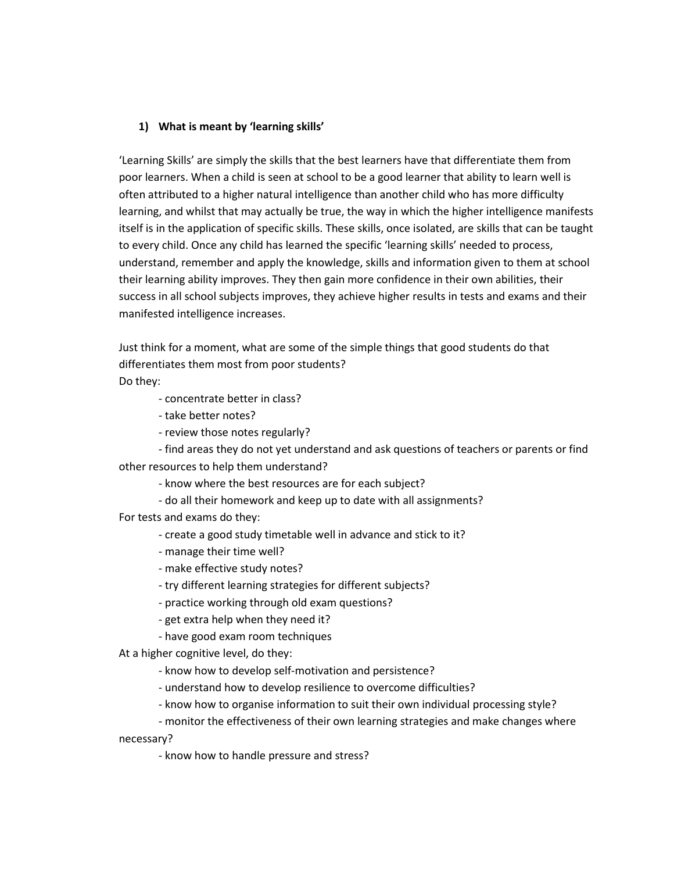## **1) What is meant by 'learning skills'**

'Learning Skills' are simply the skills that the best learners have that differentiate them from poor learners. When a child is seen at school to be a good learner that ability to learn well is often attributed to a higher natural intelligence than another child who has more difficulty learning, and whilst that may actually be true, the way in which the higher intelligence manifests itself is in the application of specific skills. These skills, once isolated, are skills that can be taught to every child. Once any child has learned the specific 'learning skills' needed to process, understand, remember and apply the knowledge, skills and information given to them at school their learning ability improves. They then gain more confidence in their own abilities, their success in all school subjects improves, they achieve higher results in tests and exams and their manifested intelligence increases.

Just think for a moment, what are some of the simple things that good students do that differentiates them most from poor students?

Do they:

- concentrate better in class?

- take better notes?
- review those notes regularly?

- find areas they do not yet understand and ask questions of teachers or parents or find other resources to help them understand?

- know where the best resources are for each subject?
- do all their homework and keep up to date with all assignments?

For tests and exams do they:

- create a good study timetable well in advance and stick to it?
- manage their time well?
- make effective study notes?
- try different learning strategies for different subjects?
- practice working through old exam questions?
- get extra help when they need it?
- have good exam room techniques

At a higher cognitive level, do they:

- know how to develop self-motivation and persistence?
- understand how to develop resilience to overcome difficulties?
- know how to organise information to suit their own individual processing style?
- monitor the effectiveness of their own learning strategies and make changes where

necessary?

- know how to handle pressure and stress?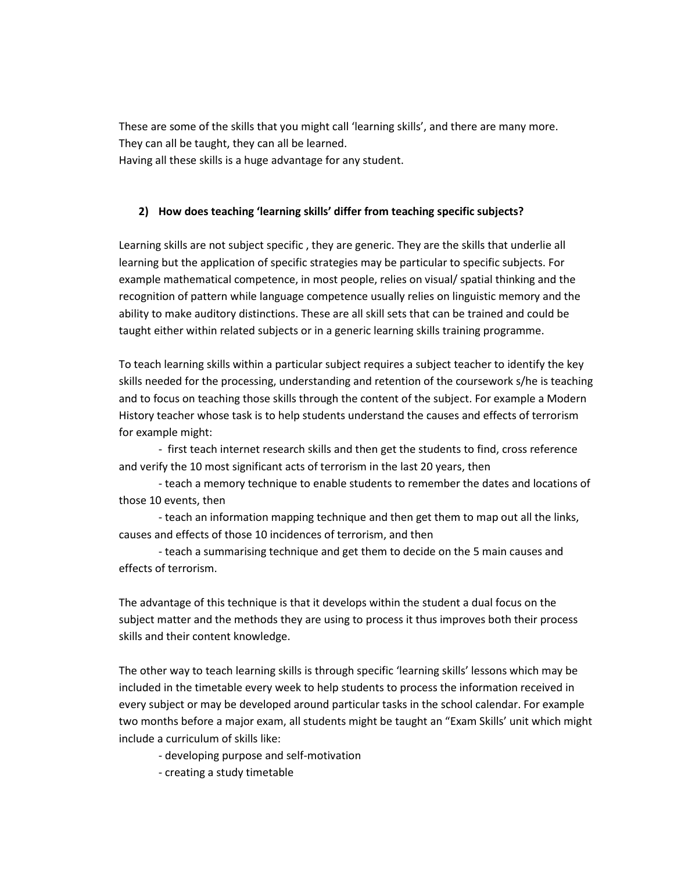These are some of the skills that you might call 'learning skills', and there are many more. They can all be taught, they can all be learned. Having all these skills is a huge advantage for any student.

## **2) How does teaching 'learning skills' differ from teaching specific subjects?**

Learning skills are not subject specific , they are generic. They are the skills that underlie all learning but the application of specific strategies may be particular to specific subjects. For example mathematical competence, in most people, relies on visual/ spatial thinking and the recognition of pattern while language competence usually relies on linguistic memory and the ability to make auditory distinctions. These are all skill sets that can be trained and could be taught either within related subjects or in a generic learning skills training programme.

To teach learning skills within a particular subject requires a subject teacher to identify the key skills needed for the processing, understanding and retention of the coursework s/he is teaching and to focus on teaching those skills through the content of the subject. For example a Modern History teacher whose task is to help students understand the causes and effects of terrorism for example might:

- first teach internet research skills and then get the students to find, cross reference and verify the 10 most significant acts of terrorism in the last 20 years, then

- teach a memory technique to enable students to remember the dates and locations of those 10 events, then

- teach an information mapping technique and then get them to map out all the links, causes and effects of those 10 incidences of terrorism, and then

- teach a summarising technique and get them to decide on the 5 main causes and effects of terrorism.

The advantage of this technique is that it develops within the student a dual focus on the subject matter and the methods they are using to process it thus improves both their process skills and their content knowledge.

The other way to teach learning skills is through specific 'learning skills' lessons which may be included in the timetable every week to help students to process the information received in every subject or may be developed around particular tasks in the school calendar. For example two months before a major exam, all students might be taught an "Exam Skills' unit which might include a curriculum of skills like:

- developing purpose and self-motivation
- creating a study timetable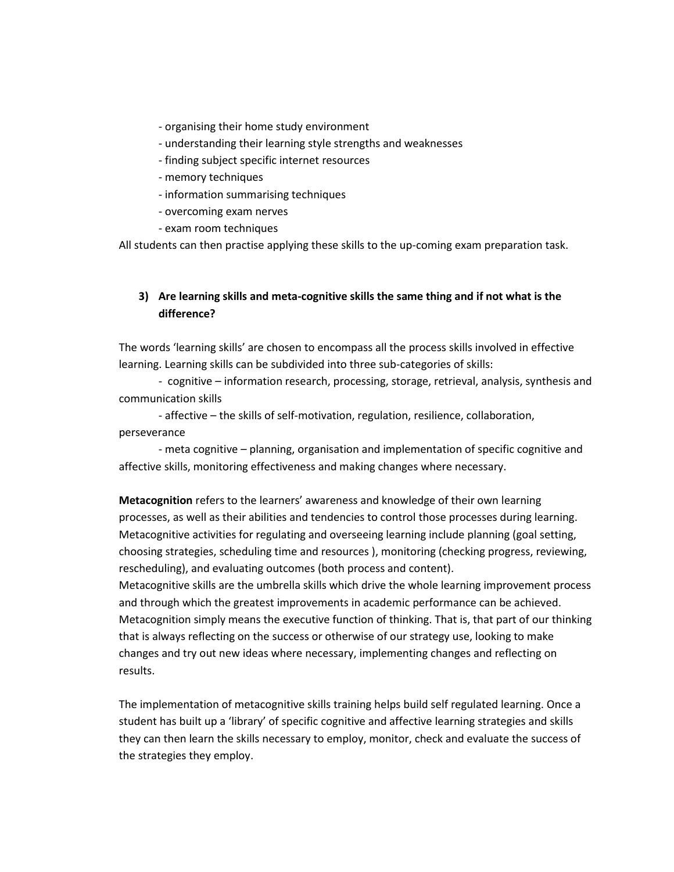- organising their home study environment
- understanding their learning style strengths and weaknesses
- finding subject specific internet resources
- memory techniques
- information summarising techniques
- overcoming exam nerves
- exam room techniques

All students can then practise applying these skills to the up-coming exam preparation task.

## **3) Are learning skills and meta-cognitive skills the same thing and if not what is the difference?**

The words 'learning skills' are chosen to encompass all the process skills involved in effective learning. Learning skills can be subdivided into three sub-categories of skills:

- cognitive – information research, processing, storage, retrieval, analysis, synthesis and communication skills

- affective – the skills of self-motivation, regulation, resilience, collaboration, perseverance

- meta cognitive – planning, organisation and implementation of specific cognitive and affective skills, monitoring effectiveness and making changes where necessary.

**Metacognition** refers to the learners' awareness and knowledge of their own learning processes, as well as their abilities and tendencies to control those processes during learning. Metacognitive activities for regulating and overseeing learning include planning (goal setting, choosing strategies, scheduling time and resources ), monitoring (checking progress, reviewing, rescheduling), and evaluating outcomes (both process and content).

Metacognitive skills are the umbrella skills which drive the whole learning improvement process and through which the greatest improvements in academic performance can be achieved. Metacognition simply means the executive function of thinking. That is, that part of our thinking that is always reflecting on the success or otherwise of our strategy use, looking to make changes and try out new ideas where necessary, implementing changes and reflecting on results.

The implementation of metacognitive skills training helps build self regulated learning. Once a student has built up a 'library' of specific cognitive and affective learning strategies and skills they can then learn the skills necessary to employ, monitor, check and evaluate the success of the strategies they employ.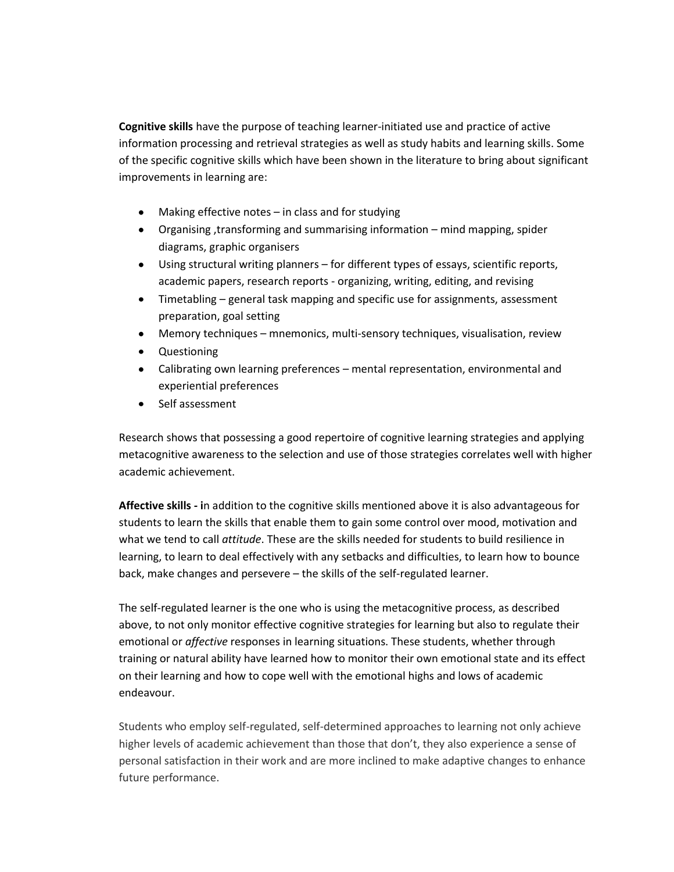**Cognitive skills** have the purpose of teaching learner-initiated use and practice of active information processing and retrieval strategies as well as study habits and learning skills. Some of the specific cognitive skills which have been shown in the literature to bring about significant improvements in learning are:

- Making effective notes in class and for studying
- Organising ,transforming and summarising information mind mapping, spider diagrams, graphic organisers
- $\bullet$ Using structural writing planners – for different types of essays, scientific reports, academic papers, research reports - organizing, writing, editing, and revising
- $\bullet$ Timetabling – general task mapping and specific use for assignments, assessment preparation, goal setting
- $\bullet$ Memory techniques – mnemonics, multi-sensory techniques, visualisation, review
- Questioning
- Calibrating own learning preferences mental representation, environmental and  $\bullet$ experiential preferences
- Self assessment

Research shows that possessing a good repertoire of cognitive learning strategies and applying metacognitive awareness to the selection and use of those strategies correlates well with higher academic achievement.

**Affective skills - i**n addition to the cognitive skills mentioned above it is also advantageous for students to learn the skills that enable them to gain some control over mood, motivation and what we tend to call *attitude*. These are the skills needed for students to build resilience in learning, to learn to deal effectively with any setbacks and difficulties, to learn how to bounce back, make changes and persevere – the skills of the self-regulated learner.

The self-regulated learner is the one who is using the metacognitive process, as described above, to not only monitor effective cognitive strategies for learning but also to regulate their emotional or *affective* responses in learning situations. These students, whether through training or natural ability have learned how to monitor their own emotional state and its effect on their learning and how to cope well with the emotional highs and lows of academic endeavour.

Students who employ self-regulated, self-determined approaches to learning not only achieve higher levels of academic achievement than those that don't, they also experience a sense of personal satisfaction in their work and are more inclined to make adaptive changes to enhance future performance.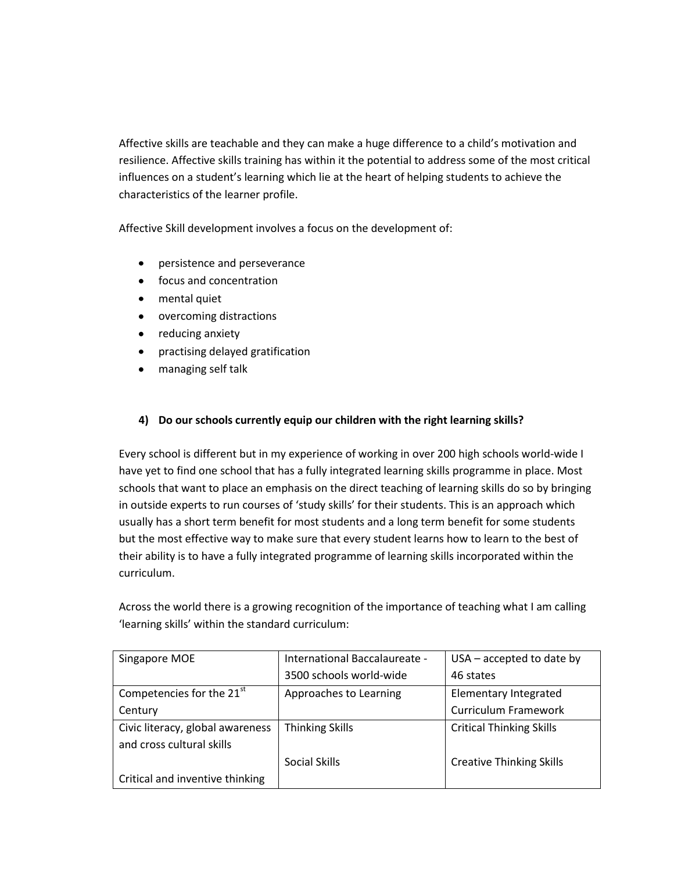Affective skills are teachable and they can make a huge difference to a child's motivation and resilience. Affective skills training has within it the potential to address some of the most critical influences on a student's learning which lie at the heart of helping students to achieve the characteristics of the learner profile.

Affective Skill development involves a focus on the development of:

- persistence and perseverance  $\bullet$
- focus and concentration
- mental quiet
- overcoming distractions
- reducing anxiety  $\bullet$
- practising delayed gratification
- managing self talk

## **4) Do our schools currently equip our children with the right learning skills?**

Every school is different but in my experience of working in over 200 high schools world-wide I have yet to find one school that has a fully integrated learning skills programme in place. Most schools that want to place an emphasis on the direct teaching of learning skills do so by bringing in outside experts to run courses of 'study skills' for their students. This is an approach which usually has a short term benefit for most students and a long term benefit for some students but the most effective way to make sure that every student learns how to learn to the best of their ability is to have a fully integrated programme of learning skills incorporated within the curriculum.

Across the world there is a growing recognition of the importance of teaching what I am calling 'learning skills' within the standard curriculum:

| Singapore MOE                         | International Baccalaureate - | $USA$ – accepted to date by     |
|---------------------------------------|-------------------------------|---------------------------------|
|                                       | 3500 schools world-wide       | 46 states                       |
| Competencies for the 21 <sup>st</sup> | Approaches to Learning        | Elementary Integrated           |
| Century                               |                               | <b>Curriculum Framework</b>     |
| Civic literacy, global awareness      | <b>Thinking Skills</b>        | <b>Critical Thinking Skills</b> |
| and cross cultural skills             |                               |                                 |
|                                       | Social Skills                 | <b>Creative Thinking Skills</b> |
| Critical and inventive thinking       |                               |                                 |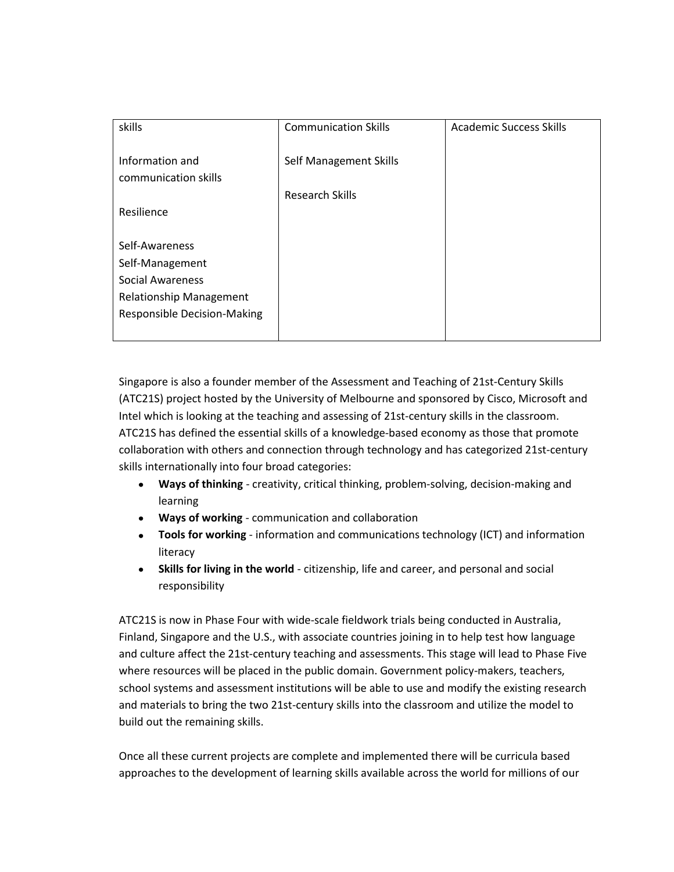| skills                                  | <b>Communication Skills</b> | <b>Academic Success Skills</b> |
|-----------------------------------------|-----------------------------|--------------------------------|
| Information and<br>communication skills | Self Management Skills      |                                |
|                                         | Research Skills             |                                |
| Resilience                              |                             |                                |
|                                         |                             |                                |
| Self-Awareness                          |                             |                                |
| Self-Management                         |                             |                                |
| <b>Social Awareness</b>                 |                             |                                |
| <b>Relationship Management</b>          |                             |                                |
| <b>Responsible Decision-Making</b>      |                             |                                |
|                                         |                             |                                |

Singapore is also a founder member of the Assessment and Teaching of 21st-Century Skills (ATC21S) project hosted by the University of Melbourne and sponsored by Cisco, Microsoft and Intel which is looking at the teaching and assessing of 21st-century skills in the classroom. ATC21S has defined the essential skills of a knowledge-based economy as those that promote collaboration with others and connection through technology and has categorized 21st-century skills internationally into four broad categories:

- **Ways of thinking** creativity, critical thinking, problem-solving, decision-making and learning
- **Ways of working** communication and collaboration
- **Tools for working** information and communications technology (ICT) and information literacy
- **Skills for living in the world** citizenship, life and career, and personal and social  $\bullet$ responsibility

ATC21S is now in Phase Four with wide-scale fieldwork trials being conducted in Australia, Finland, Singapore and the U.S., with associate countries joining in to help test how language and culture affect the 21st-century teaching and assessments. This stage will lead to Phase Five where resources will be placed in the public domain. Government policy-makers, teachers, school systems and assessment institutions will be able to use and modify the existing research and materials to bring the two 21st-century skills into the classroom and utilize the model to build out the remaining skills.

Once all these current projects are complete and implemented there will be curricula based approaches to the development of learning skills available across the world for millions of our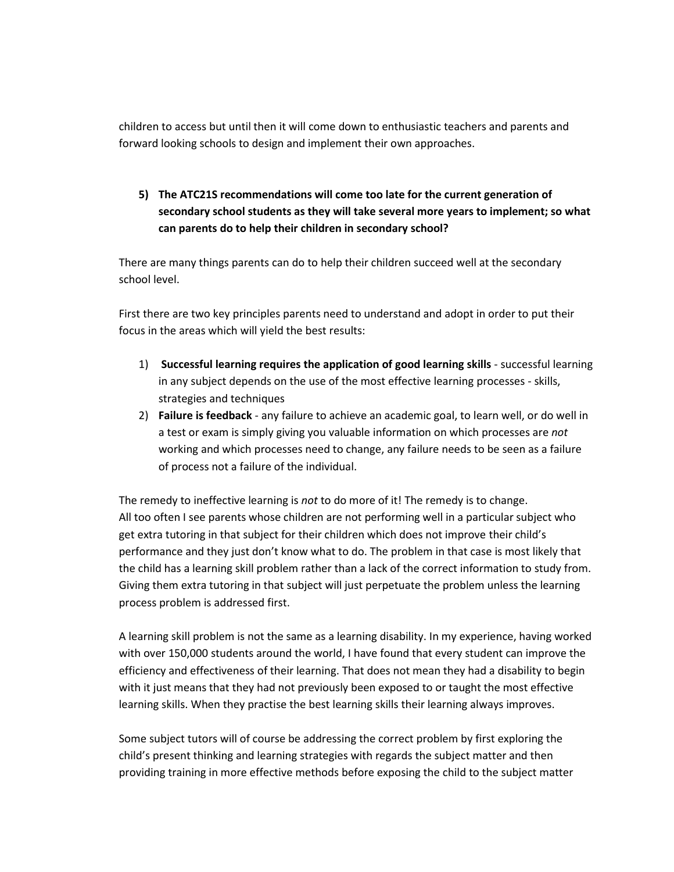children to access but until then it will come down to enthusiastic teachers and parents and forward looking schools to design and implement their own approaches.

# **5) The ATC21S recommendations will come too late for the current generation of secondary school students as they will take several more years to implement; so what can parents do to help their children in secondary school?**

There are many things parents can do to help their children succeed well at the secondary school level.

First there are two key principles parents need to understand and adopt in order to put their focus in the areas which will yield the best results:

- 1) **Successful learning requires the application of good learning skills** successful learning in any subject depends on the use of the most effective learning processes - skills, strategies and techniques
- 2) **Failure is feedback** any failure to achieve an academic goal, to learn well, or do well in a test or exam is simply giving you valuable information on which processes are *not* working and which processes need to change, any failure needs to be seen as a failure of process not a failure of the individual.

The remedy to ineffective learning is *not* to do more of it! The remedy is to change. All too often I see parents whose children are not performing well in a particular subject who get extra tutoring in that subject for their children which does not improve their child's performance and they just don't know what to do. The problem in that case is most likely that the child has a learning skill problem rather than a lack of the correct information to study from. Giving them extra tutoring in that subject will just perpetuate the problem unless the learning process problem is addressed first.

A learning skill problem is not the same as a learning disability. In my experience, having worked with over 150,000 students around the world, I have found that every student can improve the efficiency and effectiveness of their learning. That does not mean they had a disability to begin with it just means that they had not previously been exposed to or taught the most effective learning skills. When they practise the best learning skills their learning always improves.

Some subject tutors will of course be addressing the correct problem by first exploring the child's present thinking and learning strategies with regards the subject matter and then providing training in more effective methods before exposing the child to the subject matter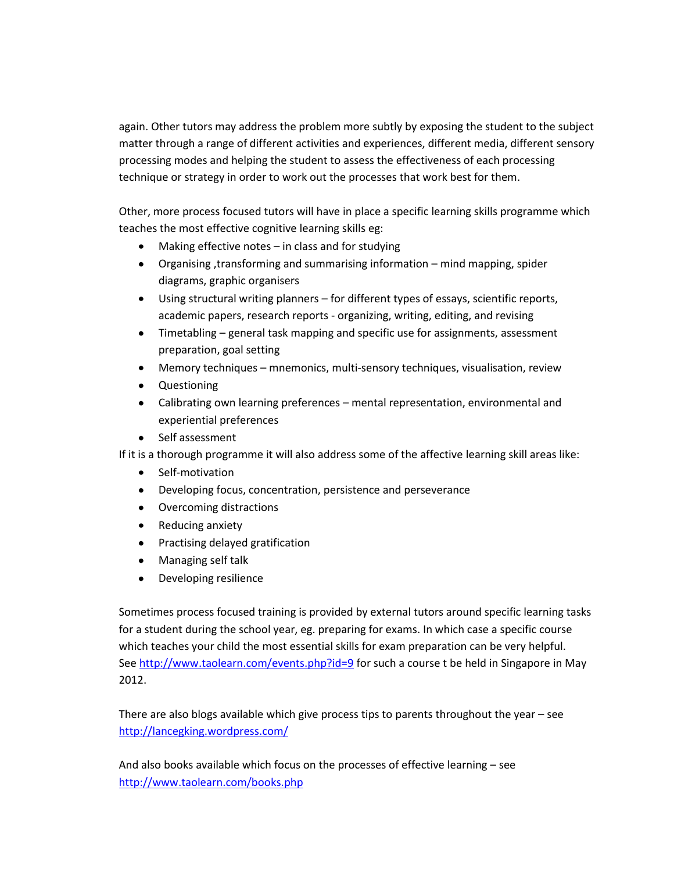again. Other tutors may address the problem more subtly by exposing the student to the subject matter through a range of different activities and experiences, different media, different sensory processing modes and helping the student to assess the effectiveness of each processing technique or strategy in order to work out the processes that work best for them.

Other, more process focused tutors will have in place a specific learning skills programme which teaches the most effective cognitive learning skills eg:

- Making effective notes in class and for studying
- Organising ,transforming and summarising information mind mapping, spider diagrams, graphic organisers
- Using structural writing planners for different types of essays, scientific reports, academic papers, research reports - organizing, writing, editing, and revising
- Timetabling general task mapping and specific use for assignments, assessment preparation, goal setting
- Memory techniques mnemonics, multi-sensory techniques, visualisation, review
- Questioning
- Calibrating own learning preferences mental representation, environmental and experiential preferences
- Self assessment

If it is a thorough programme it will also address some of the affective learning skill areas like:

- Self-motivation
- Developing focus, concentration, persistence and perseverance
- Overcoming distractions
- Reducing anxiety  $\bullet$
- $\bullet$ Practising delayed gratification
- Managing self talk
- Developing resilience  $\bullet$

Sometimes process focused training is provided by external tutors around specific learning tasks for a student during the school year, eg. preparing for exams. In which case a specific course which teaches your child the most essential skills for exam preparation can be very helpful. Se[e http://www.taolearn.com/events.php?id=9](http://www.taolearn.com/events.php?id=9) for such a course t be held in Singapore in May 2012.

There are also blogs available which give process tips to parents throughout the year – see <http://lancegking.wordpress.com/>

And also books available which focus on the processes of effective learning – see <http://www.taolearn.com/books.php>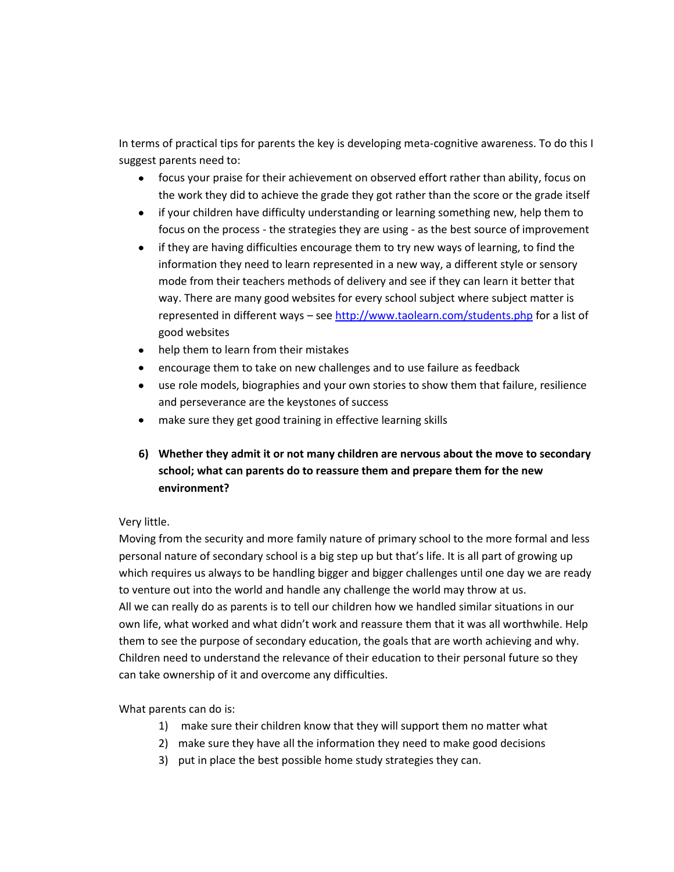In terms of practical tips for parents the key is developing meta-cognitive awareness. To do this I suggest parents need to:

- focus your praise for their achievement on observed effort rather than ability, focus on the work they did to achieve the grade they got rather than the score or the grade itself
- if your children have difficulty understanding or learning something new, help them to focus on the process - the strategies they are using - as the best source of improvement
- if they are having difficulties encourage them to try new ways of learning, to find the information they need to learn represented in a new way, a different style or sensory mode from their teachers methods of delivery and see if they can learn it better that way. There are many good websites for every school subject where subject matter is represented in different ways – se[e http://www.taolearn.com/students.php](http://www.taolearn.com/students.php) for a list of good websites
- help them to learn from their mistakes
- encourage them to take on new challenges and to use failure as feedback  $\bullet$
- use role models, biographies and your own stories to show them that failure, resilience  $\bullet$ and perseverance are the keystones of success
- make sure they get good training in effective learning skills

# **6) Whether they admit it or not many children are nervous about the move to secondary school; what can parents do to reassure them and prepare them for the new environment?**

## Very little.

Moving from the security and more family nature of primary school to the more formal and less personal nature of secondary school is a big step up but that's life. It is all part of growing up which requires us always to be handling bigger and bigger challenges until one day we are ready to venture out into the world and handle any challenge the world may throw at us. All we can really do as parents is to tell our children how we handled similar situations in our own life, what worked and what didn't work and reassure them that it was all worthwhile. Help them to see the purpose of secondary education, the goals that are worth achieving and why. Children need to understand the relevance of their education to their personal future so they can take ownership of it and overcome any difficulties.

What parents can do is:

- 1) make sure their children know that they will support them no matter what
- 2) make sure they have all the information they need to make good decisions
- 3) put in place the best possible home study strategies they can.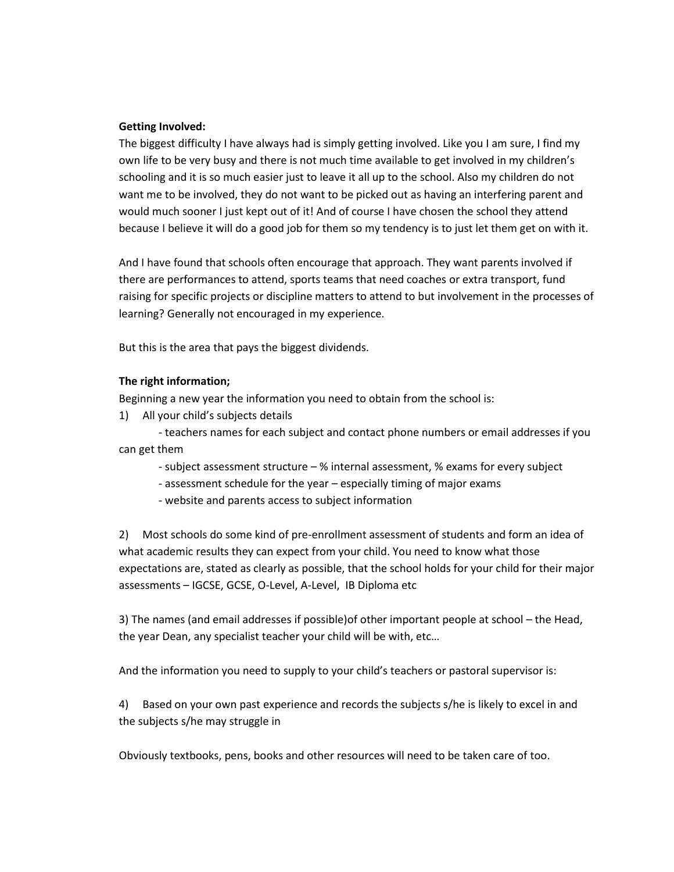#### **Getting Involved:**

The biggest difficulty I have always had is simply getting involved. Like you I am sure, I find my own life to be very busy and there is not much time available to get involved in my children's schooling and it is so much easier just to leave it all up to the school. Also my children do not want me to be involved, they do not want to be picked out as having an interfering parent and would much sooner I just kept out of it! And of course I have chosen the school they attend because I believe it will do a good job for them so my tendency is to just let them get on with it.

And I have found that schools often encourage that approach. They want parents involved if there are performances to attend, sports teams that need coaches or extra transport, fund raising for specific projects or discipline matters to attend to but involvement in the processes of learning? Generally not encouraged in my experience.

But this is the area that pays the biggest dividends.

#### **The right information;**

Beginning a new year the information you need to obtain from the school is:

1) All your child's subjects details

- teachers names for each subject and contact phone numbers or email addresses if you can get them

- subject assessment structure % internal assessment, % exams for every subject
- assessment schedule for the year especially timing of major exams
- website and parents access to subject information

2) Most schools do some kind of pre-enrollment assessment of students and form an idea of what academic results they can expect from your child. You need to know what those expectations are, stated as clearly as possible, that the school holds for your child for their major assessments – IGCSE, GCSE, O-Level, A-Level, IB Diploma etc

3) The names (and email addresses if possible)of other important people at school – the Head, the year Dean, any specialist teacher your child will be with, etc…

And the information you need to supply to your child's teachers or pastoral supervisor is:

4) Based on your own past experience and records the subjects s/he is likely to excel in and the subjects s/he may struggle in

Obviously textbooks, pens, books and other resources will need to be taken care of too.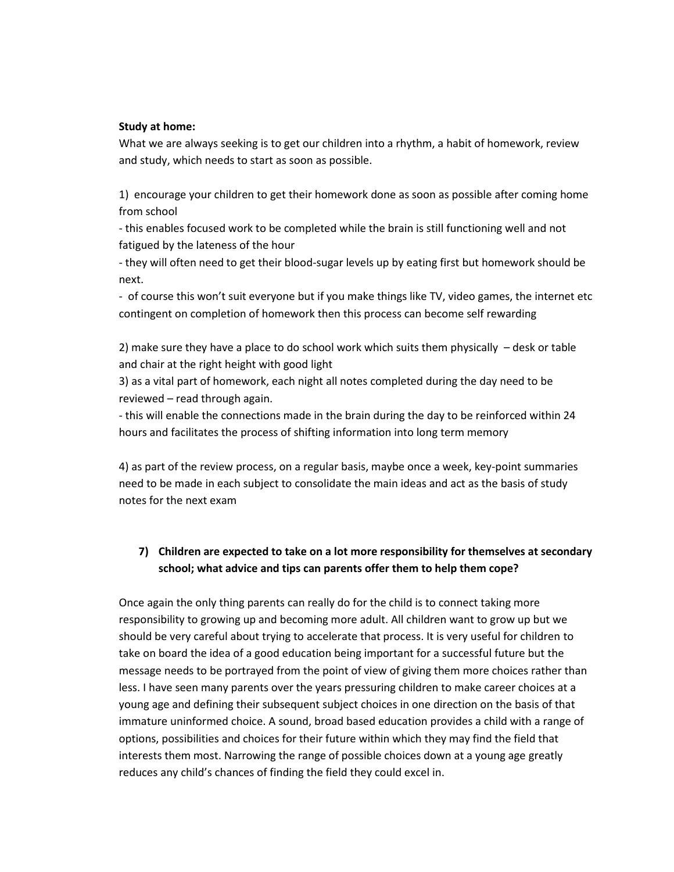#### **Study at home:**

What we are always seeking is to get our children into a rhythm, a habit of homework, review and study, which needs to start as soon as possible.

1) encourage your children to get their homework done as soon as possible after coming home from school

- this enables focused work to be completed while the brain is still functioning well and not fatigued by the lateness of the hour

- they will often need to get their blood-sugar levels up by eating first but homework should be next.

- of course this won't suit everyone but if you make things like TV, video games, the internet etc contingent on completion of homework then this process can become self rewarding

2) make sure they have a place to do school work which suits them physically – desk or table and chair at the right height with good light

3) as a vital part of homework, each night all notes completed during the day need to be reviewed – read through again.

- this will enable the connections made in the brain during the day to be reinforced within 24 hours and facilitates the process of shifting information into long term memory

4) as part of the review process, on a regular basis, maybe once a week, key-point summaries need to be made in each subject to consolidate the main ideas and act as the basis of study notes for the next exam

## **7) Children are expected to take on a lot more responsibility for themselves at secondary school; what advice and tips can parents offer them to help them cope?**

Once again the only thing parents can really do for the child is to connect taking more responsibility to growing up and becoming more adult. All children want to grow up but we should be very careful about trying to accelerate that process. It is very useful for children to take on board the idea of a good education being important for a successful future but the message needs to be portrayed from the point of view of giving them more choices rather than less. I have seen many parents over the years pressuring children to make career choices at a young age and defining their subsequent subject choices in one direction on the basis of that immature uninformed choice. A sound, broad based education provides a child with a range of options, possibilities and choices for their future within which they may find the field that interests them most. Narrowing the range of possible choices down at a young age greatly reduces any child's chances of finding the field they could excel in.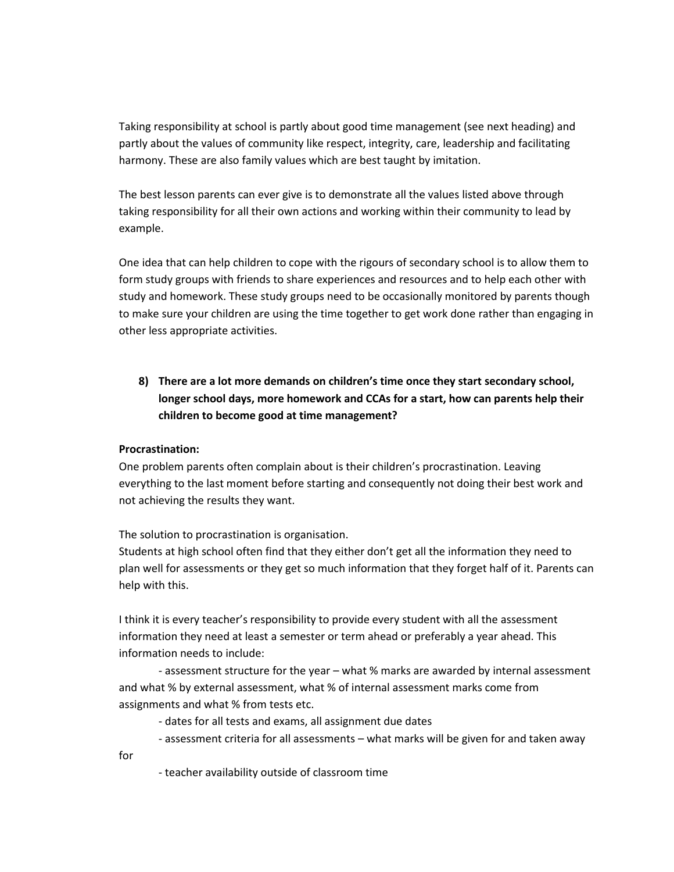Taking responsibility at school is partly about good time management (see next heading) and partly about the values of community like respect, integrity, care, leadership and facilitating harmony. These are also family values which are best taught by imitation.

The best lesson parents can ever give is to demonstrate all the values listed above through taking responsibility for all their own actions and working within their community to lead by example.

One idea that can help children to cope with the rigours of secondary school is to allow them to form study groups with friends to share experiences and resources and to help each other with study and homework. These study groups need to be occasionally monitored by parents though to make sure your children are using the time together to get work done rather than engaging in other less appropriate activities.

**8) There are a lot more demands on children's time once they start secondary school, longer school days, more homework and CCAs for a start, how can parents help their children to become good at time management?**

## **Procrastination:**

One problem parents often complain about is their children's procrastination. Leaving everything to the last moment before starting and consequently not doing their best work and not achieving the results they want.

The solution to procrastination is organisation.

Students at high school often find that they either don't get all the information they need to plan well for assessments or they get so much information that they forget half of it. Parents can help with this.

I think it is every teacher's responsibility to provide every student with all the assessment information they need at least a semester or term ahead or preferably a year ahead. This information needs to include:

- assessment structure for the year – what % marks are awarded by internal assessment and what % by external assessment, what % of internal assessment marks come from assignments and what % from tests etc.

- dates for all tests and exams, all assignment due dates
- assessment criteria for all assessments what marks will be given for and taken away
- for
- teacher availability outside of classroom time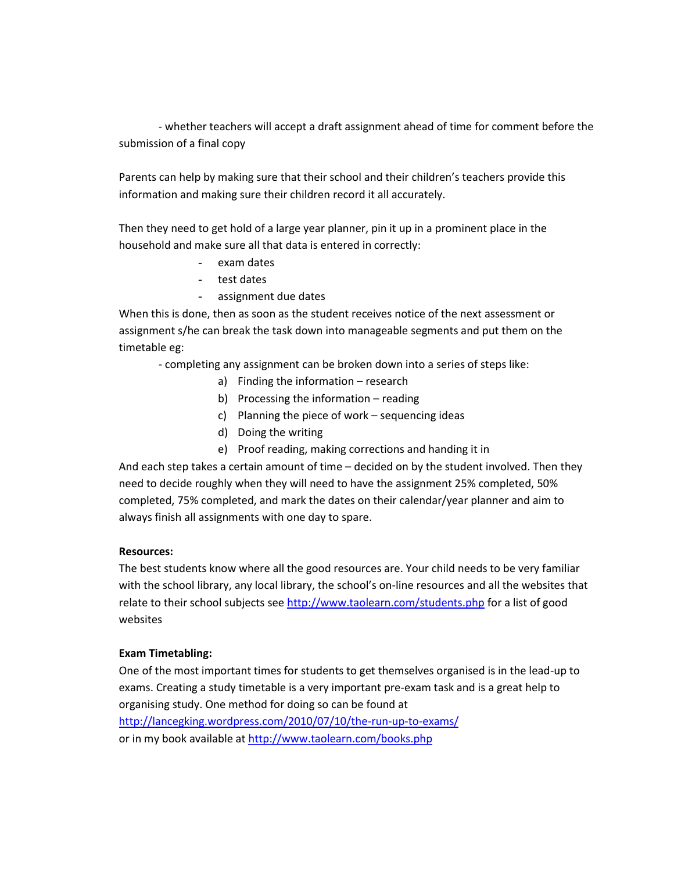- whether teachers will accept a draft assignment ahead of time for comment before the submission of a final copy

Parents can help by making sure that their school and their children's teachers provide this information and making sure their children record it all accurately.

Then they need to get hold of a large year planner, pin it up in a prominent place in the household and make sure all that data is entered in correctly:

- exam dates
- test dates
- assignment due dates

When this is done, then as soon as the student receives notice of the next assessment or assignment s/he can break the task down into manageable segments and put them on the timetable eg:

- completing any assignment can be broken down into a series of steps like:

- a) Finding the information research
- b) Processing the information reading
- c) Planning the piece of work sequencing ideas
- d) Doing the writing
- e) Proof reading, making corrections and handing it in

And each step takes a certain amount of time – decided on by the student involved. Then they need to decide roughly when they will need to have the assignment 25% completed, 50% completed, 75% completed, and mark the dates on their calendar/year planner and aim to always finish all assignments with one day to spare.

## **Resources:**

The best students know where all the good resources are. Your child needs to be very familiar with the school library, any local library, the school's on-line resources and all the websites that relate to their school subjects se[e http://www.taolearn.com/students.php](http://www.taolearn.com/students.php) for a list of good websites

## **Exam Timetabling:**

One of the most important times for students to get themselves organised is in the lead-up to exams. Creating a study timetable is a very important pre-exam task and is a great help to organising study. One method for doing so can be found at

<http://lancegking.wordpress.com/2010/07/10/the-run-up-to-exams/> or in my book available a[t http://www.taolearn.com/books.php](http://www.taolearn.com/books.php)